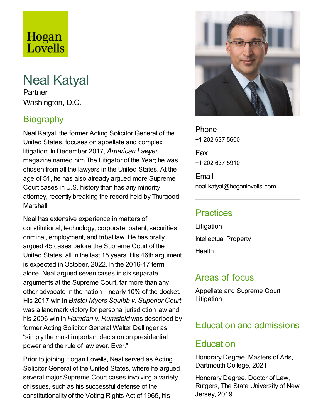# Hogan Lovells

# Neal Katyal

Partner Washington, D.C.

# **Biography**

Neal Katyal, the former Acting Solicitor General of the United States, focuses on appellate and complex litigation. In December 2017, *American Lawyer* magazine named him The Litigator of the Year; he was chosen from all the lawyers in the United States. At the age of 51, he has also already argued more Supreme Court cases in U.S. history than has any minority attorney, recently breaking the record held by Thurgood Marshall.

Neal has extensive experience in matters of constitutional, technology, corporate, patent, securities, criminal, employment, and tribal law. He has orally argued 45 cases before the Supreme Court of the United States, all in the last 15 years. His 46th argument is expected inOctober, 2022. In the 2016-17 term alone, Neal argued seven cases in six separate arguments at the Supreme Court, far more than any other advocate in the nation – nearly 10% of the docket. His 2017 win in *Bristol Myers Squibb v. Superior Court* was a landmark victory for personal jurisdiction law and his 2006 win in *Hamdan v. Rumsfeld* was described by former Acting Solicitor General Walter Dellinger as "simply the most important decision on presidential power and the rule of law ever. Ever."

Prior to joining Hogan Lovells, Neal served as Acting Solicitor General of the United States, where he argued several major Supreme Court cases involving a variety of issues, such as his successful defense of the constitutionality of the Voting Rights Act of 1965, his



**Phone** +1 202 637 5600

Fax +1 202 637 5910

Email neal.katyal@hoganlovells.com

## **Practices**

Litigation Intellectual Property

**Health** 

## Areas of focus

Appellate and Supreme Court Litigation

# Education and admissions

## **Education**

Honorary Degree, Masters of Arts, Dartmouth College, 2021

Honorary Degree, Doctor of Law, Rutgers, The State University of New Jersey, 2019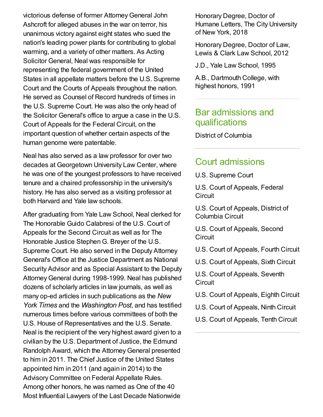victorious defense of former Attorney General John Ashcroft for alleged abuses in the war on terror, his unanimous victory against eight states who sued the nation's leading power plants for contributing to global warming, and a variety of other matters. As Acting Solicitor General, Neal was responsible for representing the federal government of the United States in all appellate matters before the U.S. Supreme Court and the Courts of Appeals throughout the nation. He served as Counsel of Record hundreds of times in the U.S. Supreme Court. He was also the only head of the Solicitor General's office to argue a case in the U.S. Court of Appeals for the Federal Circuit, on the important question of whether certain aspects of the human genome were patentable.

Neal has also served as a law professor for over two decades at Georgetown University Law Center, where he was one of the youngest professors to have received tenure and a chaired professorship in the university's history. He has also served as a visiting professor at both Harvard and Yale law schools.

After graduating from Yale Law School, Neal clerked for The Honorable Guido Calabresi of the U.S. Court of Appeals for the Second Circuit as well as for The Honorable Justice Stephen G. Breyer of the U.S. Supreme Court. He also served in the Deputy Attorney General's Office at the Justice Department as National Security Advisor and as Special Assistant to the Deputy AttorneyGeneral during 1998-1999. Neal has published dozens of scholarly articles in law journals, as well as many op-ed articles in such publications as the *New York Times* and the *Washington Post*, and has testified numerous times before various committees of both the U.S. House of Representatives and the U.S. Senate. Neal is the recipient of the very highest award given to a civilian by the U.S. Department of Justice, the Edmund Randolph Award, which the Attorney General presented to him in 2011. The Chief Justice of the United States appointed him in 2011 (and again in 2014) to the Advisory Committee on Federal Appellate Rules. Among other honors, he was named as One of the 40 Most Influential Lawyers of the Last Decade Nationwide

Honorary Degree, Doctor of Humane Letters, The City University of New York, 2018

Honorary Degree, Doctor of Law, Lewis & Clark Law School, 2012

J.D., Yale Law School, 1995

A.B., Dartmouth College, with highest honors, 1991

#### Bar admissions and qualifications

District of Columbia

#### Court admissions

U.S. Supreme Court

U.S. Court of Appeals, Federal **Circuit** 

U.S. Court of Appeals, District of Columbia Circuit

U.S. Court of Appeals, Second **Circuit** 

- U.S. Court of Appeals, Fourth Circuit
- U.S. Court of Appeals, Sixth Circuit

U.S. Court of Appeals, Seventh **Circuit** 

- U.S. Court of Appeals, Eighth Circuit
- U.S. Court of Appeals, Ninth Circuit
- U.S. Court of Appeals, Tenth Circuit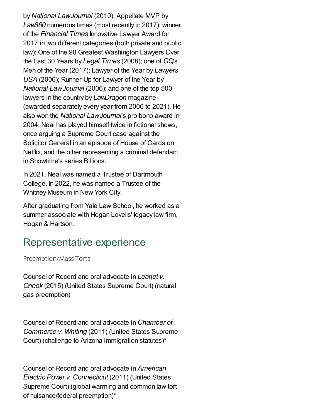by*National LawJournal* (2010); Appellate MVP by *Law360* numerous times (most recently in 2017); winner of the *Financial Times* Innovative Lawyer Award for 2017 in two different categories (both private and public law); One of the 90 Greatest Washington Lawyers Over the Last 30 Years by *Legal Times* (2008); one of *GQ*'s Men of the Year (2017); Lawyer of the Year by *Lawyers USA* (2006); Runner-Up for Lawyer of the Year by *National LawJournal* (2006); and one of the top 500 lawyers in the country by *LawDragon* magazine (awarded separately every year from 2006 to 2021). He also won the *National LawJournal*'s pro bono award in 2004. Neal has played himself twice in fictional shows, once arguing a Supreme Court case against the Solicitor General in an episode of House of Cards on Netflix, and the other representing a criminal defendant in Showtime's series Billions.

In 2021, Neal was named a Trustee of Dartmouth College. In 2022, he was named a Trustee of the Whitney Museum in New York City.

After graduating from Yale Law School, he worked as a summer associate with Hogan Lovells' legacy law firm, Hogan & Hartson.

# Representative experience

Preemption/Mass Torts

Counsel of Record and oral advocate in *Learjet v. Oneok* (2015) (United States Supreme Court) (natural gas preemption)

Counsel of Record and oral advocate in *Chamber of Commerce v. Whiting* (2011) (United States Supreme Court) (challenge to Arizona immigration statutes)\*

Counsel of Record and oral advocate in *American Electric Power v. Connecticut* (2011) (United States Supreme Court) (global warming and common law tort of nuisance/federal preemption)\*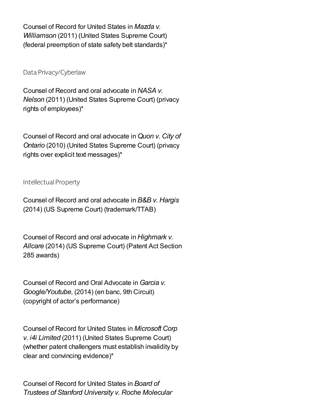Counsel of Record for United States in *Mazda v. Williamson* (2011) (United States Supreme Court) (federal preemption of state safety belt standards)\*

Data Privacy/Cyberlaw

Counsel of Record and oral advocate in *NASA v. Nelson* (2011) (United States Supreme Court) (privacy rights of employees)\*

Counsel of Record and oral advocate in*Quon v. City of Ontario* (2010) (United States Supreme Court) (privacy rights over explicit text messages)\*

Intellectual Property

Counsel of Record and oral advocate in *B&B v. Hargis* (2014) (US Supreme Court) (trademark/TTAB)

Counsel of Record and oral advocate in *Highmark v. Allcare* (2014) (US Supreme Court) (Patent Act Section 285 awards)

Counsel of Record and Oral Advocate in*Garcia v. Google/Youtube*, (2014) (en banc, 9th Circuit) (copyright of actor's performance)

Counsel of Record for United States in *Microsoft Corp v. i4i Limited* (2011) (United States Supreme Court) (whether patent challengers must establish invalidity by clear and convincing evidence)\*

Counsel of Record for United States in *Board of Trustees of Stanford University v. Roche Molecular*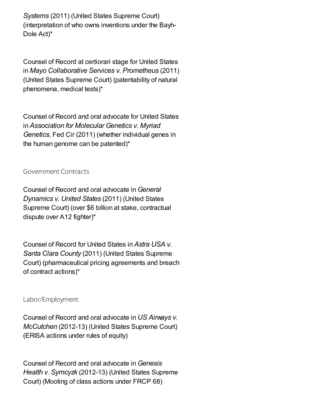*Systems* (2011) (United States Supreme Court) (interpretation of who owns inventions under the Bayh-Dole Act)\*

Counsel of Record at certiorari stage for United States in *Mayo Collaborative Services v. Prometheus* (2011) (United States Supreme Court) (patentability of natural phenomena, medical tests)\*

Counsel of Record and oral advocate for United States in *Association for Molecular Genetics v. Myriad Genetics*, Fed Cir (2011) (whether individual genes in the human genome can be patented)\*

Government Contracts

Counsel of Record and oral advocate in*General Dynamics v. United States* (2011) (United States Supreme Court) (over \$6 billion at stake, contractual dispute over A12 fighter)\*

Counsel of Record for United States in *Astra USA v. Santa Clara County* (2011) (United States Supreme Court) (pharmaceutical pricing agreements and breach of contract actions)\*

Labor/Employment

Counsel of Record and oral advocate in *US Airways v. McCutchen* (2012-13) (United States Supreme Court) (ERISA actions under rules of equity)

Counsel of Record and oral advocate in*Genesis Health v. Symcyzk* (2012-13) (United States Supreme Court) (Mooting of class actions under FRCP 68)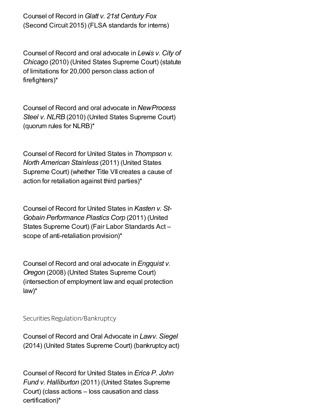Counsel of Record in*Glatt v. 21st Century Fox* (Second Circuit 2015) (FLSA standards for interns)

Counsel of Record and oral advocate in *Lewis v. City of Chicago* (2010) (United States Supreme Court) (statute of limitations for 20,000 person class action of firefighters)\*

Counsel of Record and oral advocate in *NewProcess Steel v. NLRB* (2010) (United States Supreme Court) (quorum rules for NLRB)\*

Counsel of Record for United States in *Thompson v. North American Stainless* (2011) (United States Supreme Court) (whether Title VII creates a cause of action for retaliation against third parties)\*

Counsel of Record for United States in *Kasten v. St-Gobain Performance Plastics Corp* (2011) (United States Supreme Court) (Fair Labor Standards Act – scope of anti-retaliation provision)\*

Counsel of Record and oral advocate in *Engquist v. Oregon* (2008) (United States Supreme Court) (intersection of employment law and equal protection law)\*

Securities Regulation/Bankruptcy

Counsel of Record and Oral Advocate in *Lawv. Siegel* (2014) (United States Supreme Court) (bankruptcy act)

Counsel of Record for United States in *Erica P. John Fund v. Halliburton* (2011) (United States Supreme Court) (class actions – loss causation and class certification)\*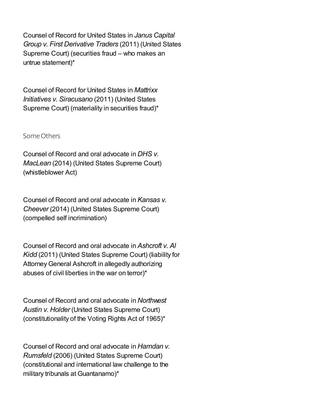Counsel of Record for United States in *Janus Capital Group v. First Derivative Traders* (2011) (United States Supreme Court) (securities fraud – who makes an untrue statement)\*

Counsel of Record for United States in *Mattrixx Initiatives v. Siracusano* (2011) (United States Supreme Court) (materiality in securities fraud)\*

#### Some Others

Counsel of Record and oral advocate in *DHS v. MacLean* (2014) (United States Supreme Court) (whistleblower Act)

Counsel of Record and oral advocate in *Kansas v. Cheever* (2014) (United States Supreme Court) (compelled self incrimination)

Counsel of Record and oral advocate in *Ashcroft v. Al Kidd* (2011) (United States Supreme Court) (liability for AttorneyGeneral Ashcroft in allegedly authorizing abuses of civil liberties in the war on terror)\*

Counsel of Record and oral advocate in *Northwest Austin v. Holder* (United States Supreme Court) (constitutionality of the Voting Rights Act of 1965)\*

Counsel of Record and oral advocate in *Hamdan v. Rumsfeld* (2006) (United States Supreme Court) (constitutional and international law challenge to the military tribunals at Guantanamo)\*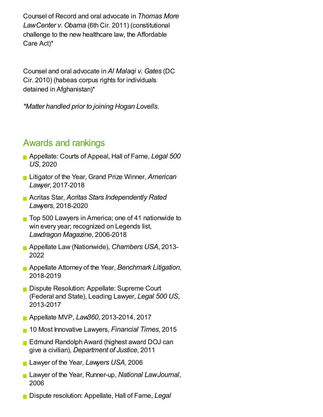Counsel of Record and oral advocate in *Thomas More LawCenter v. Obama* (6th Cir. 2011) (constitutional challenge to the new healthcare law, the Affordable Care Act)\*

Counsel and oral advocate in *Al Malaqi v. Gates* (DC Cir. 2010) (habeas corpus rights for individuals detained in Afghanistan)\*

*\*Matter handled prior to joining Hogan Lovells.*

## Awards and rankings

- Appellate: Courts of Appeal, Hall of Fame, *Legal 500 US*, 2020
- Litigator of the Year, Grand Prize Winner, *American Lawyer*, 2017-2018
- Acritas Star, *Acritas Stars Independently Rated Lawyers*, 2018-2020
- Top 500 Lawyers in America; one of 41 nationwide to win every year; recognized on Legends list, *Lawdragon Magazine*, 2006-2018
- Appellate Law (Nationwide), *Chambers USA*, 2013- 2022
- Appellate Attorney of the Year, *Benchmark Litigation*, 2018-2019
- Dispute Resolution: Appellate: Supreme Court (Federal and State), Leading Lawyer, *Legal 500 US*, 2013-2017
- Appellate MVP, *Law360*, 2013-2014, 2017
- 10 Most Innovative Lawyers, *Financial Times*, 2015
- **Edmund Randolph Award (highest award DOJ can** give a civilian), *Department of Justice*, 2011
- Lawyer of the Year, *Lawyers USA*, 2006
- Lawyer of the Year, Runner-up, *National LawJournal*, 2006
- Dispute resolution: Appellate, Hall of Fame, *Legal*